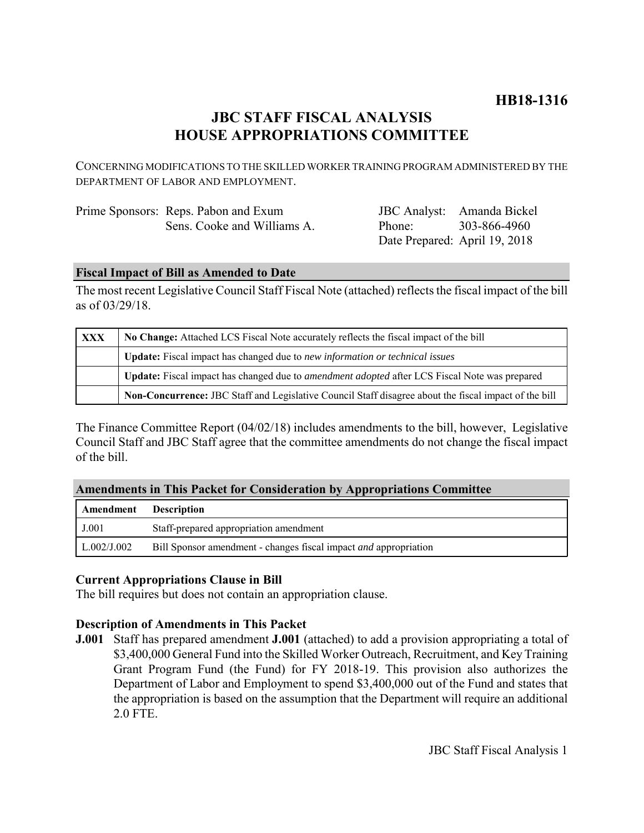# **HB18-1316**

# **JBC STAFF FISCAL ANALYSIS HOUSE APPROPRIATIONS COMMITTEE**

CONCERNING MODIFICATIONS TO THE SKILLED WORKER TRAINING PROGRAM ADMINISTERED BY THE DEPARTMENT OF LABOR AND EMPLOYMENT.

| Prime Sponsors: Reps. Pabon and Exum |
|--------------------------------------|
| Sens. Cooke and Williams A.          |

JBC Analyst: Amanda Bickel Phone: Date Prepared: April 19, 2018 303-866-4960

## **Fiscal Impact of Bill as Amended to Date**

The most recent Legislative Council Staff Fiscal Note (attached) reflects the fiscal impact of the bill as of 03/29/18.

| <b>XXX</b> | No Change: Attached LCS Fiscal Note accurately reflects the fiscal impact of the bill                 |  |  |
|------------|-------------------------------------------------------------------------------------------------------|--|--|
|            | <b>Update:</b> Fiscal impact has changed due to new information or technical issues                   |  |  |
|            | Update: Fiscal impact has changed due to <i>amendment adopted</i> after LCS Fiscal Note was prepared  |  |  |
|            | Non-Concurrence: JBC Staff and Legislative Council Staff disagree about the fiscal impact of the bill |  |  |

The Finance Committee Report (04/02/18) includes amendments to the bill, however, Legislative Council Staff and JBC Staff agree that the committee amendments do not change the fiscal impact of the bill.

## **Amendments in This Packet for Consideration by Appropriations Committee**

| Amendment   | <b>Description</b>                                                      |
|-------------|-------------------------------------------------------------------------|
| J.001       | Staff-prepared appropriation amendment                                  |
| L.002/J.002 | Bill Sponsor amendment - changes fiscal impact <i>and</i> appropriation |

## **Current Appropriations Clause in Bill**

The bill requires but does not contain an appropriation clause.

# **Description of Amendments in This Packet**

**J.001** Staff has prepared amendment **J.001** (attached) to add a provision appropriating a total of \$3,400,000 General Fund into the Skilled Worker Outreach, Recruitment, and Key Training Grant Program Fund (the Fund) for FY 2018-19. This provision also authorizes the Department of Labor and Employment to spend \$3,400,000 out of the Fund and states that the appropriation is based on the assumption that the Department will require an additional 2.0 FTE.